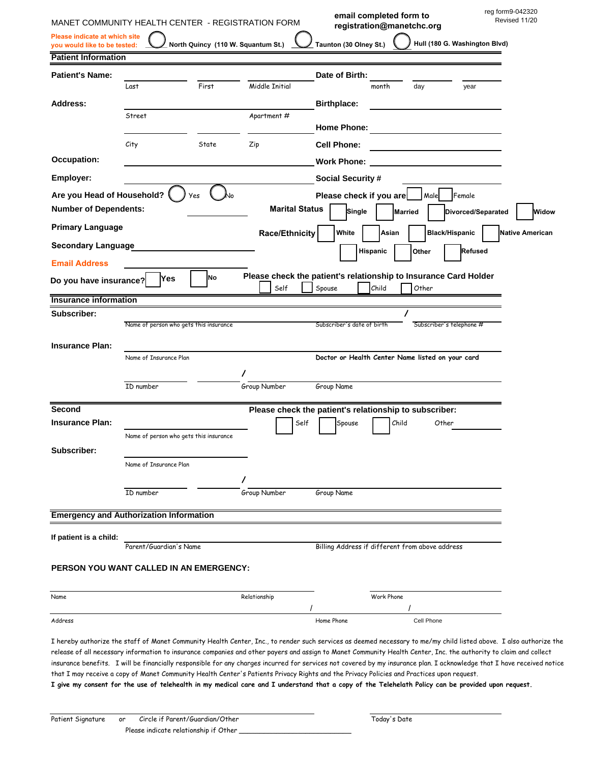|                                                               |                                                | MANET COMMUNITY HEALTH CENTER - REGISTRATION FORM | email completed form to<br>registration@manetchc.org                                                                                                                                                                                                                                                                                    | reg form9-042320<br>Revised 11/20 |
|---------------------------------------------------------------|------------------------------------------------|---------------------------------------------------|-----------------------------------------------------------------------------------------------------------------------------------------------------------------------------------------------------------------------------------------------------------------------------------------------------------------------------------------|-----------------------------------|
| Please indicate at which site<br>you would like to be tested: |                                                | North Quincy (110 W. Squantum St.)                | Hull (180 G. Washington Blvd)<br>Taunton (30 Olney St.)                                                                                                                                                                                                                                                                                 |                                   |
| <b>Patient Information</b>                                    |                                                |                                                   |                                                                                                                                                                                                                                                                                                                                         |                                   |
| <b>Patient's Name:</b>                                        |                                                |                                                   | Date of Birth:                                                                                                                                                                                                                                                                                                                          |                                   |
|                                                               | Last                                           | First<br>Middle Initial                           | month<br>day<br>year                                                                                                                                                                                                                                                                                                                    |                                   |
| <b>Address:</b>                                               |                                                |                                                   | <b>Birthplace:</b>                                                                                                                                                                                                                                                                                                                      |                                   |
|                                                               | Street                                         | Apartment #                                       | <b>Home Phone:</b><br><u> The Communication of the Communication of the Communication of the Communication of the Communication of the Co</u>                                                                                                                                                                                           |                                   |
|                                                               | City                                           | State<br>Zip                                      | <b>Cell Phone:</b>                                                                                                                                                                                                                                                                                                                      |                                   |
| <b>Occupation:</b>                                            |                                                |                                                   | <b>Work Phone:</b><br><u> 1989 - Johann Barbara, martin amerikan basar dan basa dan basar dalam basa dalam basa dalam basa dalam basa </u>                                                                                                                                                                                              |                                   |
| Employer:                                                     |                                                |                                                   | <b>Social Security #</b>                                                                                                                                                                                                                                                                                                                |                                   |
| Are you Head of Household?                                    |                                                | ٨lo                                               |                                                                                                                                                                                                                                                                                                                                         |                                   |
| <b>Number of Dependents:</b>                                  | Yes                                            | <b>Marital Status</b>                             | Please check if you are<br>Male<br>Female                                                                                                                                                                                                                                                                                               | Widow                             |
|                                                               |                                                |                                                   | Divorced/Separated<br>Single<br>Married                                                                                                                                                                                                                                                                                                 |                                   |
| <b>Primary Language</b>                                       |                                                | <b>Race/Ethnicity</b>                             | <b>Black/Hispanic</b><br>White<br>Asian                                                                                                                                                                                                                                                                                                 | <b>Native American</b>            |
| <b>Secondary Language</b>                                     |                                                |                                                   | <b>Refused</b><br>Hispanic<br>Other                                                                                                                                                                                                                                                                                                     |                                   |
| <b>Email Address</b>                                          |                                                |                                                   |                                                                                                                                                                                                                                                                                                                                         |                                   |
| Do you have insurance?                                        | lYes                                           | <b>No</b><br>Self                                 | Please check the patient's relationship to Insurance Card Holder<br>Spouse<br>Child<br>Other                                                                                                                                                                                                                                            |                                   |
| <b>Insurance information</b>                                  |                                                |                                                   |                                                                                                                                                                                                                                                                                                                                         |                                   |
| Subscriber:                                                   |                                                |                                                   |                                                                                                                                                                                                                                                                                                                                         |                                   |
|                                                               | Name of person who gets this insurance         |                                                   | Subscriber's date of birth<br>Subscriber's telephone #                                                                                                                                                                                                                                                                                  |                                   |
| <b>Insurance Plan:</b>                                        |                                                |                                                   |                                                                                                                                                                                                                                                                                                                                         |                                   |
|                                                               | Name of Insurance Plan                         |                                                   | Doctor or Health Center Name listed on your card                                                                                                                                                                                                                                                                                        |                                   |
|                                                               | ID number                                      | 7<br>Group Number                                 | Group Name                                                                                                                                                                                                                                                                                                                              |                                   |
|                                                               |                                                |                                                   |                                                                                                                                                                                                                                                                                                                                         |                                   |
| <b>Second</b>                                                 |                                                |                                                   | Please check the patient's relationship to subscriber:                                                                                                                                                                                                                                                                                  |                                   |
| <b>Insurance Plan:</b>                                        |                                                | Self                                              | Child<br>Other<br>Spouse                                                                                                                                                                                                                                                                                                                |                                   |
|                                                               | Name of person who gets this insurance         |                                                   |                                                                                                                                                                                                                                                                                                                                         |                                   |
| Subscriber:                                                   | Name of Insurance Plan                         |                                                   |                                                                                                                                                                                                                                                                                                                                         |                                   |
|                                                               |                                                | 7                                                 |                                                                                                                                                                                                                                                                                                                                         |                                   |
|                                                               | ID number                                      | Group Number                                      | Group Name                                                                                                                                                                                                                                                                                                                              |                                   |
|                                                               |                                                |                                                   |                                                                                                                                                                                                                                                                                                                                         |                                   |
|                                                               | <b>Emergency and Authorization Information</b> |                                                   |                                                                                                                                                                                                                                                                                                                                         |                                   |
| If patient is a child:                                        |                                                |                                                   |                                                                                                                                                                                                                                                                                                                                         |                                   |
|                                                               | Parent/Guardian's Name                         |                                                   | Billing Address if different from above address                                                                                                                                                                                                                                                                                         |                                   |
|                                                               | PERSON YOU WANT CALLED IN AN EMERGENCY:        |                                                   |                                                                                                                                                                                                                                                                                                                                         |                                   |
| Name                                                          |                                                | Relationship                                      | Work Phone                                                                                                                                                                                                                                                                                                                              |                                   |
|                                                               |                                                |                                                   |                                                                                                                                                                                                                                                                                                                                         |                                   |
| Address                                                       |                                                |                                                   | Home Phone<br>Cell Phone                                                                                                                                                                                                                                                                                                                |                                   |
|                                                               |                                                |                                                   | I hereby authorize the staff of Manet Community Health Center, Inc., to render such services as deemed necessary to me/my child listed above. I also authorize the<br>release of all necessary information to insurance companies and other payers and assign to Manet Community Health Center, Inc. the authority to claim and collect |                                   |

insurance benefits. I will be financially responsible for any charges incurred for services not covered by my insurance plan. I acknowledge that I have received notice that I may receive a copy of Manet Community Health Center's Patients Privacy Rights and the Privacy Policies and Practices upon request.

**I give my consent for the use of telehealth in my medical care and I understand that a copy of the Telehelath Policy can be provided upon request.**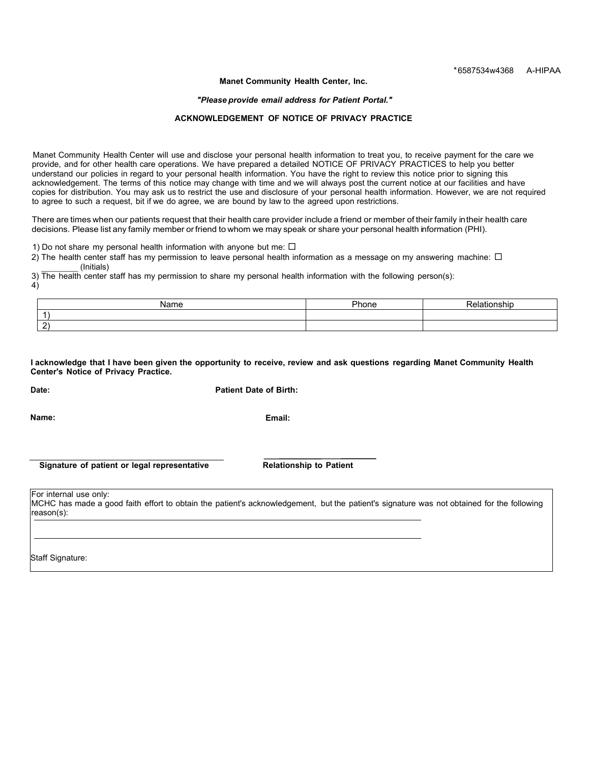## **Manet Community Health Center, Inc.**

## *"Please provide email address for Patient Portal."*

## **ACKNOWLEDGEMENT OF NOTICE OF PRIVACY PRACTICE**

Manet Community Health Center will use and disclose your personal health information to treat you, to receive payment for the care we provide, and for other health care operations. We have prepared a detailed NOTICE OF PRIVACY PRACTICES to help you better understand our policies in regard to your personal health information. You have the right to review this notice prior to signing this acknowledgement. The terms of this notice may change with time and we will always post the current notice at our facilities and have copies for distribution. You may ask us to restrict the use and disclosure of your personal health information. However, we are not required to agree to such a request, bit if we do agree, we are bound by law to the agreed upon restrictions.

There are times when our patients request that their health care provider include a friend or member of their family in their health care decisions. Please list any family member or friend to whom we may speak or share your personal health information (PHI).

1) Do not share my personal health information with anyone but me:  $\Box$ 

2) The health center staff has my permission to leave personal health information as a message on my answering machine:  $\Box$ \_\_\_\_\_\_\_\_ (Initials)

3) The health center staff has my permission to share my personal health information with the following person(s): 4)

| $  -$ | ∍. | 11 |
|-------|----|----|
|       |    |    |
| -     |    |    |

**I acknowledge that I have been given the opportunity to receive, review and ask questions regarding Manet Community Health Center's Notice of Privacy Practice.**

**Date: Patient Date of Birth:** 

**Name:** 

**Email:**

**Signature of patient or legal representative <br><b>Relationship to Patient** 

For internal use only:

MCHC has made a good faith effort to obtain the patient's acknowledgement, but the patient's signature was not obtained for the following reason(s):

Staff Signature: